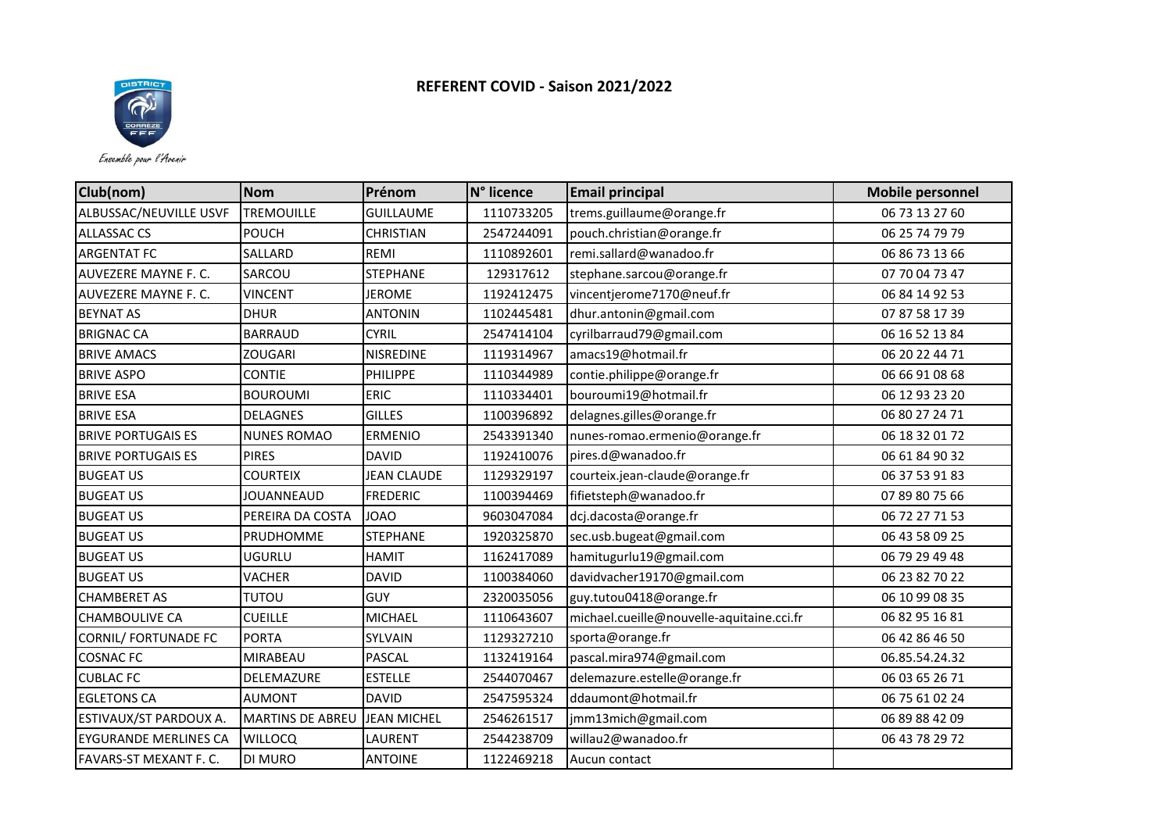

Ensemble pour l'Avenir

| Club(nom)                    | Nom                     | Prénom             | N° licence | <b>Email principal</b>                    | <b>Mobile personnel</b> |
|------------------------------|-------------------------|--------------------|------------|-------------------------------------------|-------------------------|
| ALBUSSAC/NEUVILLE USVF       | <b>TREMOUILLE</b>       | <b>GUILLAUME</b>   | 1110733205 | trems.guillaume@orange.fr                 | 06 73 13 27 60          |
| <b>ALLASSAC CS</b>           | POUCH                   | <b>CHRISTIAN</b>   | 2547244091 | pouch.christian@orange.fr                 | 06 25 74 79 79          |
| <b>ARGENTAT FC</b>           | SALLARD                 | REMI               | 1110892601 | remi.sallard@wanadoo.fr                   | 06 86 73 13 66          |
| AUVEZERE MAYNE F. C.         | SARCOU                  | <b>STEPHANE</b>    | 129317612  | stephane.sarcou@orange.fr                 | 07 70 04 73 47          |
| AUVEZERE MAYNE F. C.         | <b>VINCENT</b>          | <b>JEROME</b>      | 1192412475 | vincentjerome7170@neuf.fr                 | 06 84 14 92 53          |
| <b>BEYNAT AS</b>             | <b>DHUR</b>             | <b>ANTONIN</b>     | 1102445481 | dhur.antonin@gmail.com                    | 07 87 58 17 39          |
| <b>BRIGNAC CA</b>            | <b>BARRAUD</b>          | <b>CYRIL</b>       | 2547414104 | cyrilbarraud79@gmail.com                  | 06 16 52 13 84          |
| <b>BRIVE AMACS</b>           | <b>ZOUGARI</b>          | NISREDINE          | 1119314967 | amacs19@hotmail.fr                        | 06 20 22 44 71          |
| <b>BRIVE ASPO</b>            | <b>CONTIE</b>           | PHILIPPE           | 1110344989 | contie.philippe@orange.fr                 | 06 66 91 08 68          |
| <b>BRIVE ESA</b>             | <b>BOUROUMI</b>         | <b>ERIC</b>        | 1110334401 | bouroumi19@hotmail.fr                     | 06 12 93 23 20          |
| <b>BRIVE ESA</b>             | <b>DELAGNES</b>         | <b>GILLES</b>      | 1100396892 | delagnes.gilles@orange.fr                 | 06 80 27 24 71          |
| <b>BRIVE PORTUGAIS ES</b>    | <b>NUNES ROMAO</b>      | <b>ERMENIO</b>     | 2543391340 | nunes-romao.ermenio@orange.fr             | 06 18 32 01 72          |
| <b>BRIVE PORTUGAIS ES</b>    | <b>PIRES</b>            | <b>DAVID</b>       | 1192410076 | pires.d@wanadoo.fr                        | 06 61 84 90 32          |
| <b>BUGEAT US</b>             | <b>COURTEIX</b>         | <b>JEAN CLAUDE</b> | 1129329197 | courteix.jean-claude@orange.fr            | 06 37 53 91 83          |
| <b>BUGEAT US</b>             | JOUANNEAUD              | <b>FREDERIC</b>    | 1100394469 | fifietsteph@wanadoo.fr                    | 07 89 80 75 66          |
| <b>BUGEAT US</b>             | PEREIRA DA COSTA        | <b>JOAO</b>        | 9603047084 | dcj.dacosta@orange.fr                     | 06 72 27 71 53          |
| <b>BUGEAT US</b>             | PRUDHOMME               | <b>STEPHANE</b>    | 1920325870 | sec.usb.bugeat@gmail.com                  | 06 43 58 09 25          |
| <b>BUGEAT US</b>             | UGURLU                  | <b>HAMIT</b>       | 1162417089 | hamitugurlu19@gmail.com                   | 06 79 29 49 48          |
| <b>BUGEAT US</b>             | VACHER                  | <b>DAVID</b>       | 1100384060 | davidvacher19170@gmail.com                | 06 23 82 70 22          |
| <b>CHAMBERET AS</b>          | <b>TUTOU</b>            | <b>GUY</b>         | 2320035056 | guy.tutou0418@orange.fr                   | 06 10 99 08 35          |
| CHAMBOULIVE CA               | <b>CUEILLE</b>          | <b>MICHAEL</b>     | 1110643607 | michael.cueille@nouvelle-aquitaine.cci.fr | 06 82 95 16 81          |
| <b>CORNIL/ FORTUNADE FC</b>  | PORTA                   | SYLVAIN            | 1129327210 | sporta@orange.fr                          | 06 42 86 46 50          |
| <b>COSNAC FC</b>             | <b>MIRABEAU</b>         | <b>PASCAL</b>      | 1132419164 | pascal.mira974@gmail.com                  | 06.85.54.24.32          |
| <b>CUBLAC FC</b>             | DELEMAZURE              | <b>ESTELLE</b>     | 2544070467 | delemazure.estelle@orange.fr              | 06 03 65 26 71          |
| <b>EGLETONS CA</b>           | <b>AUMONT</b>           | <b>DAVID</b>       | 2547595324 | ddaumont@hotmail.fr                       | 06 75 61 02 24          |
| ESTIVAUX/ST PARDOUX A.       | <b>MARTINS DE ABREU</b> | <b>JEAN MICHEL</b> | 2546261517 | jmm13mich@gmail.com                       | 06 89 88 42 09          |
| <b>EYGURANDE MERLINES CA</b> | <b>WILLOCQ</b>          | LAURENT            | 2544238709 | willau2@wanadoo.fr                        | 06 43 78 29 72          |
| FAVARS-ST MEXANT F. C.       | <b>DI MURO</b>          | <b>ANTOINE</b>     | 1122469218 | Aucun contact                             |                         |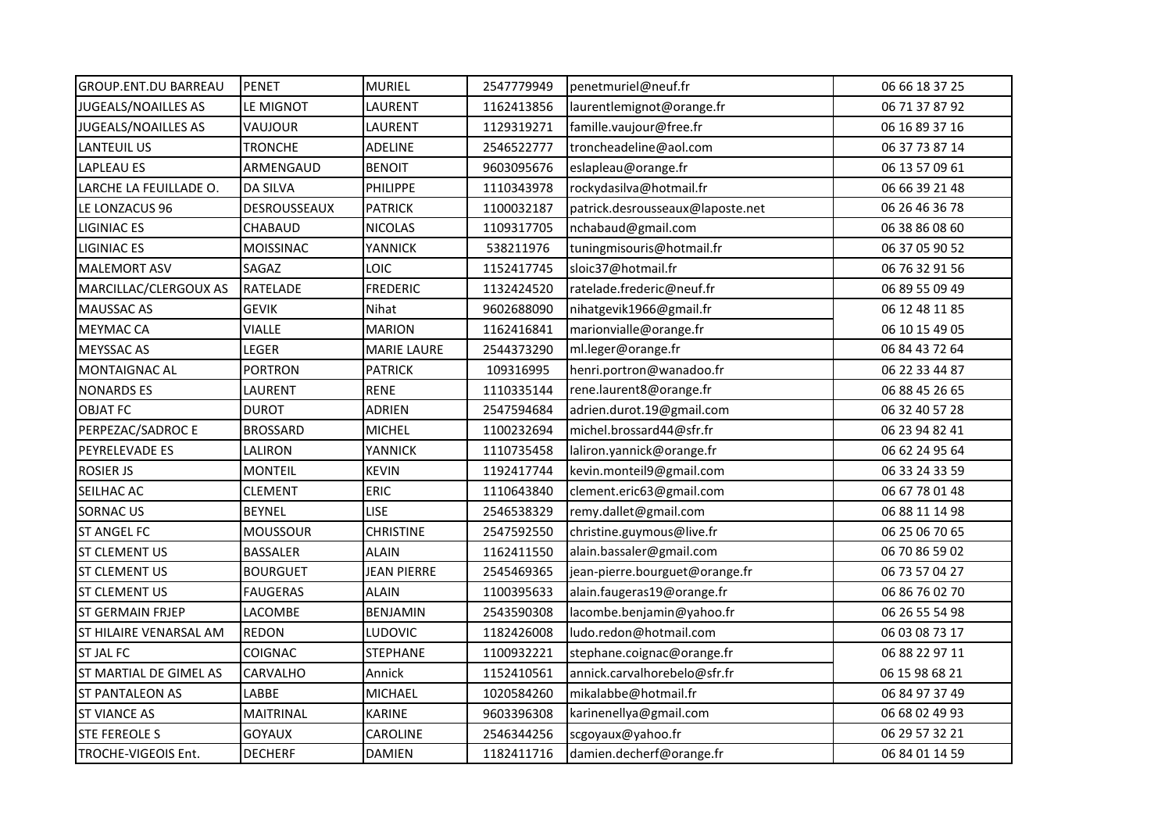| <b>GROUP.ENT.DU BARREAU</b>   | <b>PENET</b>     | <b>MURIEL</b>      | 2547779949 | penetmuriel@neuf.fr              | 06 66 18 37 25 |
|-------------------------------|------------------|--------------------|------------|----------------------------------|----------------|
| <b>JUGEALS/NOAILLES AS</b>    | LE MIGNOT        | LAURENT            | 1162413856 | laurentlemignot@orange.fr        | 06 71 37 87 92 |
| <b>JUGEALS/NOAILLES AS</b>    | VAUJOUR          | LAURENT            | 1129319271 | famille.vaujour@free.fr          | 06 16 89 37 16 |
| <b>LANTEUIL US</b>            | <b>TRONCHE</b>   | ADELINE            | 2546522777 | troncheadeline@aol.com           | 06 37 73 87 14 |
| <b>LAPLEAU ES</b>             | ARMENGAUD        | <b>BENOIT</b>      | 9603095676 | eslapleau@orange.fr              | 06 13 57 09 61 |
| LARCHE LA FEUILLADE O.        | DA SILVA         | PHILIPPE           | 1110343978 | rockydasilva@hotmail.fr          | 06 66 39 21 48 |
| LE LONZACUS 96                | DESROUSSEAUX     | <b>PATRICK</b>     | 1100032187 | patrick.desrousseaux@laposte.net | 06 26 46 36 78 |
| <b>LIGINIAC ES</b>            | CHABAUD          | <b>NICOLAS</b>     | 1109317705 | nchabaud@gmail.com               | 06 38 86 08 60 |
| LIGINIAC ES                   | <b>MOISSINAC</b> | <b>YANNICK</b>     | 538211976  | tuningmisouris@hotmail.fr        | 06 37 05 90 52 |
| <b>MALEMORT ASV</b>           | SAGAZ            | LOIC               | 1152417745 | sloic37@hotmail.fr               | 06 76 32 91 56 |
| MARCILLAC/CLERGOUX AS         | <b>RATELADE</b>  | <b>FREDERIC</b>    | 1132424520 | ratelade.frederic@neuf.fr        | 06 89 55 09 49 |
| MAUSSAC AS                    | <b>GEVIK</b>     | Nihat              | 9602688090 | nihatgevik1966@gmail.fr          | 06 12 48 11 85 |
| <b>MEYMAC CA</b>              | <b>VIALLE</b>    | <b>MARION</b>      | 1162416841 | marionvialle@orange.fr           | 06 10 15 49 05 |
| <b>MEYSSAC AS</b>             | LEGER            | <b>MARIE LAURE</b> | 2544373290 | ml.leger@orange.fr               | 06 84 43 72 64 |
| <b>MONTAIGNAC AL</b>          | <b>PORTRON</b>   | <b>PATRICK</b>     | 109316995  | henri.portron@wanadoo.fr         | 06 22 33 44 87 |
| <b>NONARDS ES</b>             | LAURENT          | <b>RENE</b>        | 1110335144 | rene.laurent8@orange.fr          | 06 88 45 26 65 |
| <b>OBJAT FC</b>               | <b>DUROT</b>     | <b>ADRIEN</b>      | 2547594684 | adrien.durot.19@gmail.com        | 06 32 40 57 28 |
| PERPEZAC/SADROC E             | <b>BROSSARD</b>  | <b>MICHEL</b>      | 1100232694 | michel.brossard44@sfr.fr         | 06 23 94 82 41 |
| <b>PEYRELEVADE ES</b>         | LALIRON          | YANNICK            | 1110735458 | laliron.yannick@orange.fr        | 06 62 24 95 64 |
| <b>ROSIER JS</b>              | <b>MONTEIL</b>   | <b>KEVIN</b>       | 1192417744 | kevin.monteil9@gmail.com         | 06 33 24 33 59 |
| SEILHAC AC                    | CLEMENT          | <b>ERIC</b>        | 1110643840 | clement.eric63@gmail.com         | 06 67 78 01 48 |
| <b>SORNAC US</b>              | <b>BEYNEL</b>    | <b>LISE</b>        | 2546538329 | remy.dallet@gmail.com            | 06 88 11 14 98 |
| <b>ST ANGEL FC</b>            | <b>MOUSSOUR</b>  | <b>CHRISTINE</b>   | 2547592550 | christine.guymous@live.fr        | 06 25 06 70 65 |
| IST CLEMENT US                | <b>BASSALER</b>  | <b>ALAIN</b>       | 1162411550 | alain.bassaler@gmail.com         | 06 70 86 59 02 |
| <b>ST CLEMENT US</b>          | <b>BOURGUET</b>  | <b>JEAN PIERRE</b> | 2545469365 | jean-pierre.bourguet@orange.fr   | 06 73 57 04 27 |
| <b>ST CLEMENT US</b>          | <b>FAUGERAS</b>  | ALAIN              | 1100395633 | alain.faugeras19@orange.fr       | 06 86 76 02 70 |
| <b>ST GERMAIN FRJEP</b>       | LACOMBE          | <b>BENJAMIN</b>    | 2543590308 | lacombe.benjamin@yahoo.fr        | 06 26 55 54 98 |
| <b>ST HILAIRE VENARSAL AM</b> | <b>REDON</b>     | LUDOVIC            | 1182426008 | ludo.redon@hotmail.com           | 06 03 08 73 17 |
| <b>ST JAL FC</b>              | <b>COIGNAC</b>   | STEPHANE           | 1100932221 | stephane.coignac@orange.fr       | 06 88 22 97 11 |
| ST MARTIAL DE GIMEL AS        | CARVALHO         | Annick             | 1152410561 | annick.carvalhorebelo@sfr.fr     | 06 15 98 68 21 |
| <b>ST PANTALEON AS</b>        | LABBE            | MICHAEL            | 1020584260 | mikalabbe@hotmail.fr             | 06 84 97 37 49 |
| <b>ST VIANCE AS</b>           | <b>MAITRINAL</b> | <b>KARINE</b>      | 9603396308 | karinenellya@gmail.com           | 06 68 02 49 93 |
| <b>STE FEREOLE S</b>          | <b>GOYAUX</b>    | CAROLINE           | 2546344256 | scgoyaux@yahoo.fr                | 06 29 57 32 21 |
| TROCHE-VIGEOIS Ent.           | <b>DECHERF</b>   | <b>DAMIEN</b>      | 1182411716 | damien.decherf@orange.fr         | 06 84 01 14 59 |